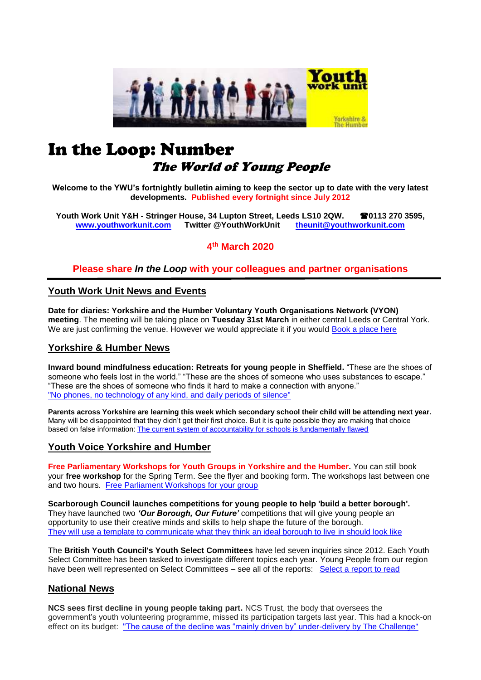

# In the Loop: Number The World of Young People

**Welcome to the YWU's fortnightly bulletin aiming to keep the sector up to date with the very latest developments. Published every fortnight since July 2012**

**Youth Work Unit Y&H - Stringer House, 34 Lupton Street, Leeds LS10 2QW. 0113 270 3595, [www.youthworkunit.com](http://www.youthworkunit.com/) Twitter @YouthWorkUnit [theunit@youthworkunit.com](mailto:theunit@youthworkunit.com)**

**4 th March 2020**

# **Please share** *In the Loop* **with your colleagues and partner organisations**

## **Youth Work Unit News and Events**

**Date for diaries: Yorkshire and the Humber Voluntary Youth Organisations Network (VYON) meeting**. The meeting will be taking place on **Tuesday 31st March** in either central Leeds or Central York. We are just confirming the venue. However we would appreciate it if you would [Book a place here](https://www.eventbrite.co.uk/e/yorkshire-and-the-humber-voluntary-youth-organisations-network-meeting-tickets-95833190653)

## **Yorkshire & Humber News**

**Inward bound mindfulness education: Retreats for young people in Sheffield.** "These are the shoes of someone who feels lost in the world." "These are the shoes of someone who uses substances to escape." "These are the shoes of someone who finds it hard to make a connection with anyone." ["No phones, no technology of any kind, and daily periods of silence"](https://www.sheffieldtelegraph.co.uk/news/people/inward-bound-mindfulness-education-retreats-young-people-2042691)

**Parents across Yorkshire are learning this week which secondary school their child will be attending next year.** Many will be disappointed that they didn't get their first choice. But it is quite possible they are making that choice based on false information: [The current system of accountability for schools is fundamentally flawed](https://www.yorkshirepost.co.uk/news/opinion/columnists/flawed-system-marks-down-norths-schools-fiona-spellman-2049337)

## **Youth Voice Yorkshire and Humber**

**Free Parliamentary Workshops for Youth Groups in Yorkshire and the Humber.** You can still book your **free workshop** for the Spring Term. See the flyer and booking form. The workshops last between one and two hours. [Free Parliament Workshops for your group](http://www.youthworkunit.com/news/free-parliament-workshops-for-youth-groups-and-community-groups/)

**Scarborough Council launches competitions for young people to help 'build a better borough'.** They have launched two *'Our Borough, Our Future'* competitions that will give young people an opportunity to use their creative minds and skills to help shape the future of the borough. [They will use a template to communicate what they think an ideal borough to live](https://www.thescarboroughnews.co.uk/news/politics/council/scarborough-council-launches-competitions-young-people-help-build-better-borough-1891096) in should look like

The **British Youth Council's Youth Select Committees** have led seven inquiries since 2012. Each Youth Select Committee has been tasked to investigate different topics each year. Young People from our region have been well represented on Select Committees – see all of the reports: [Select a report to read](https://www.byc.org.uk/uk/youth-select-committee/reports)

## **National News**

**NCS sees first decline in young people taking part.** NCS Trust, the body that oversees the government's youth volunteering programme, missed its participation targets last year. This had a knock-on effect on its budget: ["The cause of the decline was "mainly driven by" under-delivery by The Challenge"](https://www.civilsociety.co.uk/news/ncs-sees-first-decline-in-young-people-taking-part.html)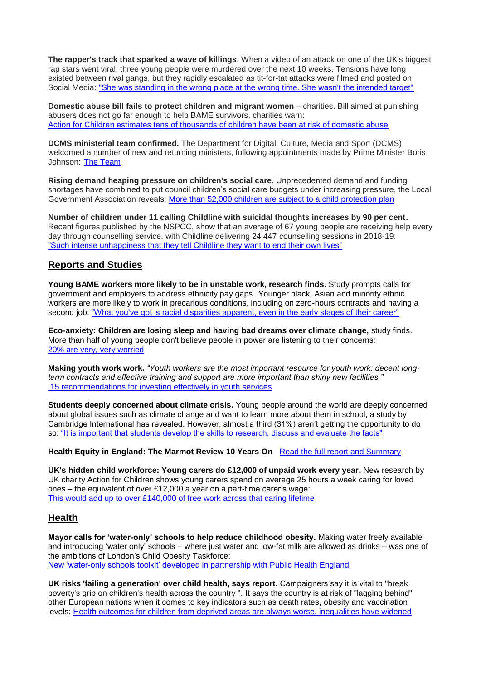**The rapper's track that sparked a wave of killings**. When a video of an attack on one of the UK's biggest rap stars went viral, three young people were murdered over the next 10 weeks. Tensions have long existed between rival gangs, but they rapidly escalated as tit-for-tat attacks were filmed and posted on Social Media: ["She was standing in the wrong place at the wrong time. She wasn't the intended target"](https://www.bbc.co.uk/news/stories-51722066)

**Domestic abuse bill fails to protect children and migrant women** – charities. Bill aimed at punishing abusers does not go far enough to help BAME survivors, charities warn: [Action for Children estimates tens of thousands of children have been at risk of domestic abuse](https://www.theguardian.com/society/2020/mar/03/domestic-abuse-laws-to-be-brought-back-before-parliament) 

**DCMS ministerial team confirmed.** The Department for Digital, Culture, Media and Sport (DCMS) welcomed a number of new and returning ministers, following appointments made by Prime Minister Boris Johnson: [The Team](https://www.gov.uk/government/news/dcms-ministerial-team-confirmed)

**Rising demand heaping pressure on children's social care**. Unprecedented demand and funding shortages have combined to put council children's social care budgets under increasing pressure, the Local Government Association reveals: [More than 52,000 children are subject to a child protection plan](https://www.local.gov.uk/rising-demand-heaping-pressure-childrens-social-care)

**Number of children under 11 calling Childline with suicidal thoughts increases by 90 per cent.**  Recent figures published by the NSPCC, show that an average of 67 young people are receiving help every day through counselling service, with Childline delivering 24,447 counselling sessions in 2018-19: ["Such intense unhappiness that they tell Childline they want to end their own lives"](https://www.independent.co.uk/life-style/childline-suicidal-thoughts-children-mental-health-self-harm-counselling-nspcc-a9374016.html)

## **Reports and Studies**

**Young BAME workers more likely to be in unstable work, research finds.** Study prompts calls for government and employers to address ethnicity pay gaps. Younger black, Asian and minority ethnic workers are more likely to work in precarious conditions, including on zero-hours contracts and having a second job: ["What you've got is racial disparities apparent, even in the early stages of their career"](https://www.peoplemanagement.co.uk/news/articles/young-bame-workers-more-likely-to-be-in-unstable-work)

**Eco-anxiety: Children are losing sleep and having bad dreams over climate change,** study finds. More than half of young people don't believe people in power are listening to their concerns: [20% are very, very worried](https://www.independent.co.uk/life-style/children-climate-change-sleep-nightmares-eco-anxiety-greta-thunberg-a9371191.html)

**Making youth work work.** *"Youth workers are the most important resource for youth work: decent longterm contracts and effective training and support are more important than shiny new facilities."* [15 recommendations for investing effectively in youth services](https://www.kcl.ac.uk/policy-institute/assets/youthwork.pdf)

**Students deeply concerned about climate crisis.** Young people around the world are deeply concerned about global issues such as climate change and want to learn more about them in school, a study by Cambridge International has revealed. However, almost a third (31%) aren't getting the opportunity to do so: ["It is important that students develop the skills to research, discuss and evaluate the facts"](https://thepienews.com/news/students-deeply-concerned-about-climate-crisis/)

**Health Equity in England: The Marmot Review 10 Years On** [Read the full report and Summary](https://www.health.org.uk/publications/reports/the-marmot-review-10-years-on)

**UK's hidden child workforce: Young carers do £12,000 of unpaid work every year.** New research by UK charity Action for Children shows young carers spend on average 25 hours a week caring for loved ones – the equivalent of over £12,000 a year on a part-time carer's wage: [This would add up to over £140,000 of free work across that caring lifetime](https://www.actionforchildren.org.uk/news-and-blogs/press-releases/2020/february/uks-hidden-child-workforce/)

# **Health**

**Mayor calls for 'water-only' schools to help reduce childhood obesity.** Making water freely available and introducing 'water only' schools – where just water and low-fat milk are allowed as drinks – was one of the ambitions of London's Child Obesity Taskforce: [New 'water-only schools toolkit' developed in partnership with Public Health England](https://www.london.gov.uk/press-releases/mayoral/mayor-calls-for-water-only-schools)

**UK risks 'failing a generation' over child health, says report**. Campaigners say it is vital to "break poverty's grip on children's health across the country ". It says the country is at risk of "lagging behind" other European nations when it comes to key indicators such as death rates, obesity and vaccination levels: [Health outcomes for children from deprived areas are always worse, inequalities have widened](https://news.sky.com/story/uk-risks-failing-a-generation-over-child-health-says-report-11949089)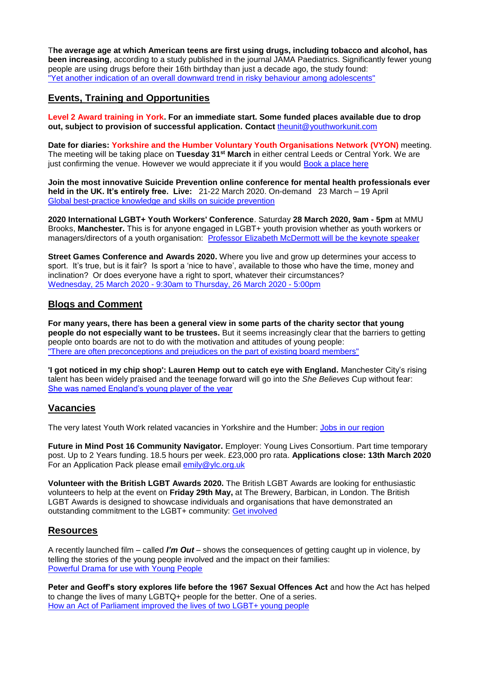T**he average age at which American teens are first using drugs, including tobacco and alcohol, has been increasing**, according to a study published in the journal JAMA Paediatrics. Significantly fewer young people are using drugs before their 16th birthday than just a decade ago, the study found: ["Yet another indication of an overall downward trend in risky behaviour](https://www.minnpost.com/second-opinion/2020/03/american-teens-are-delaying-first-use-of-drugs-including-tobacco-and-alcohol-study-finds/) among adolescents"

# **Events, Training and Opportunities**

**Level 2 Award training in York. For an immediate start. Some funded places available due to drop out, subject to provision of successful application. Contact** [theunit@youthworkunit.com](mailto:theunit@youthworkunit.com)

**Date for diaries: Yorkshire and the Humber Voluntary Youth Organisations Network (VYON)** meeting. The meeting will be taking place on **Tuesday 31st March** in either central Leeds or Central York. We are just confirming the venue. However we would appreciate it if you would [Book a place here](https://www.eventbrite.co.uk/e/yorkshire-and-the-humber-voluntary-youth-organisations-network-meeting-tickets-95833190653)

**Join the most innovative Suicide Prevention online conference for mental health professionals ever held in the UK. It's entirely free. Live:** 21-22 March 2020. On-demand 23 March – 19 April [Global best-practice knowledge and skills on suicide](https://www.mentalhealthacademy.co.uk/suicideprevention) prevention

**2020 International LGBT+ Youth Workers' Conference**. Saturday **28 March 2020, 9am - 5pm** at MMU Brooks, **Manchester.** This is for anyone engaged in LGBT+ youth provision whether as youth workers or managers/directors of a youth organisation: [Professor Elizabeth McDermott will be the keynote speaker](https://www.eventbrite.co.uk/e/2020-iuki-international-lgbt-youth-workers-conference-tickets-89258343107?aff=IncompleteRegistration&utm_source=eventbrite&utm_medium=email&utm_term=event_title_p1&ref=eemail)

**Street Games Conference and Awards 2020.** Where you live and grow up determines your access to sport. It's true, but is it fair? Is sport a 'nice to have', available to those who have the time, money and inclination? Or does everyone have a right to sport, whatever their circumstances? Wednesday, 25 March 2020 - [9:30am to Thursday, 26 March 2020 -](https://network.streetgames.org/events/streetgames-conference-and-awards-2020) 5:00pm

## **Blogs and Comment**

**For many years, there has been a general view in some parts of the charity sector that young people do not especially want to be trustees.** But it seems increasingly clear that the barriers to getting people onto boards are not to do with the motivation and attitudes of young people: ["There are often preconceptions and prejudices on the part of existing board members"](https://www.thirdsector.co.uk/penny-wilson-remove-barriers-young-people-keen-trustees/governance/article/1675181) 

**'I got noticed in my chip shop': Lauren Hemp out to catch eye with England.** Manchester City's rising talent has been widely praised and the teenage forward will go into the *She Believes* Cup without fear: [She was named England's young player of the year](https://www.theguardian.com/football/2020/mar/04/lauren-hemp-england-shebelieves-cup-manchester-city-chip-shop?utm_term=Autofeed&CMP=twt_gu&utm_medium&utm_source=Twitter#Echobox=1583324886)

## **Vacancies**

The very latest Youth Work related vacancies in Yorkshire and the Humber: [Jobs in our region](https://www.indeed.co.uk/Youth-Worker-jobs-in-Yorkshire-and-Humberside)

**Future in Mind Post 16 Community Navigator.** Employer: Young Lives Consortium. Part time temporary post. Up to 2 Years funding. 18.5 hours per week. £23,000 pro rata. **Applications close: 13th March 2020** For an Application Pack please email [emily@ylc.org.uk](mailto:emily@ylc.org.uk)

**Volunteer with the British LGBT Awards 2020.** The British LGBT Awards are looking for enthusiastic volunteers to help at the event on **Friday 29th May,** at The Brewery, Barbican, in London. The British LGBT Awards is designed to showcase individuals and organisations that have demonstrated an outstanding commitment to the LGBT+ community: [Get involved](http://www.britishlgbtawards.com/volunteer-with-us/)

## **Resources**

A recently launched film – called *I'm Out* – shows the consequences of getting caught up in violence, by telling the stories of the young people involved and the impact on their families: [Powerful Drama for use with Young People](https://www.imout.org.uk/)

**Peter and Geoff's story explores life before the 1967 Sexual Offences Act** and how the Act has helped to change the lives of many LGBTQ+ people for the better. One of a series. [How an Act of Parliament improved the lives of two LGBT+ young people](https://www.youtube.com/watch?v=HDzloJTbx20&list=PLj3mInRJqIen_NBj2p3DYDy3qrBK4qQHi&index=7&utm_source=UK+Parliament+Education+and+Engagement&utm_campaign=5371d1f65c-EMAIL_CAMPAIGN_2018_06_18_01_28_COPY_01&utm_medium=email&utm_term=0_26d0645ea9-5371d1f65c-102590665&mc_cid=5371d1f65c&mc_eid=b3b2224c93)